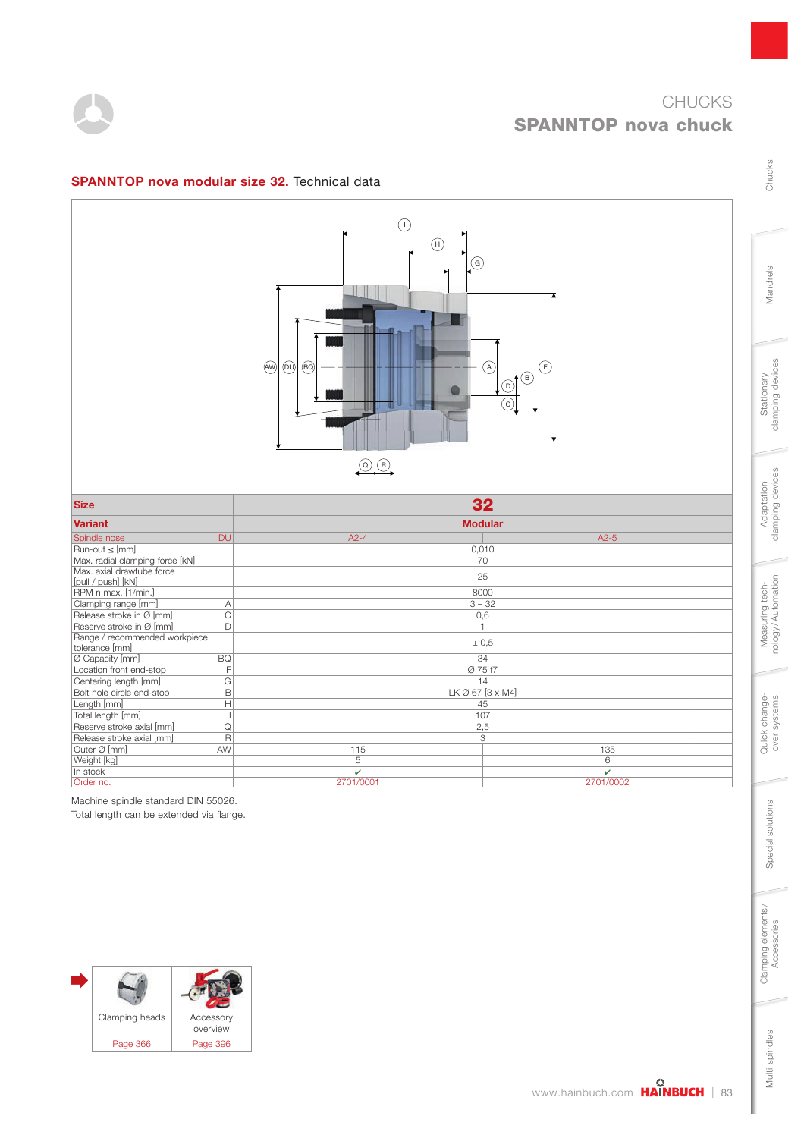

Chucks

Mandrels

Stationary<br>clamping devices

Adaptation<br>clamping devices

Measuring tech-<br>nology/Automation

Quick change-<br>over systems

Special solutions

Special solutions



## $\bigcap$  $\binom{H}{H}$  $\odot$  $\circledcirc$  $(F)$  $(AW)$   $(DU)$   $(BO)$   $-- -- -- (A)$  $\binom{6}{5}$  $\bigcirc$  $\bullet$  $\sqrt{c}$  $\Omega$   $\Omega$ Size  $\overline{\phantom{a}}$  32  $\overline{\phantom{a}}$ 9DULDQW 0RGXODU Spindle nose DU A2-4 A2-5 Francout ≤ [mm] 0,010<br>Max. radial clamping force [kN] 70 Max. radial clamping force [kN] Max. axial drawtube force [pull / push] [kN] RPM n max. [1/min.] 8000 25 Clamping range  $\begin{array}{ccc} \hline \text{M} & \text{A} & 3-32 \ \text{Re} & \text{B} & 3-32 \ \text{Re} & 0,6 \end{array}$ Release stroke in Ø [mm] C<br>Reserve stroke in Ø [mm] C<br>D Reserve stroke in Ø [mm] D | 1<br>Range / recommended workpiece ± 0,5 tolerance [mm] Ø Capacity [mm] BQ 34 Location front end-stop F Ø 75 f7<br>
Centering length [mm] G 14<br>
Bolt hole circle end-stop B LK Ø 67 [3 x Centering length [mm] G 14<br>
Bolt hole circle end-stop B 15 14<br>
LK Ø 67 [3 x M4] Bolt hole circle end-stop Length [mm] H 45<br>
Total length [mm] H 45 Total length [mm] 1<br>
Reserve stroke axial [mm] 2<br>
2.5 Reserve stroke axial [mm] Release stroke axial [mm]  $R$   $R$  3 Outer Ø [mm] AW 115 135 Weight [kg] 5 6 In stock  $\checkmark$ Order no. 2701/0001 2701/0002

**SPANNTOP nova modular size 32.** Technical data

Machine spindle standard DIN 55026.

Total length can be extended via flange.



Clamping elements/<br>Accessories

www.hainbuch.com **HAINBUCH** | 83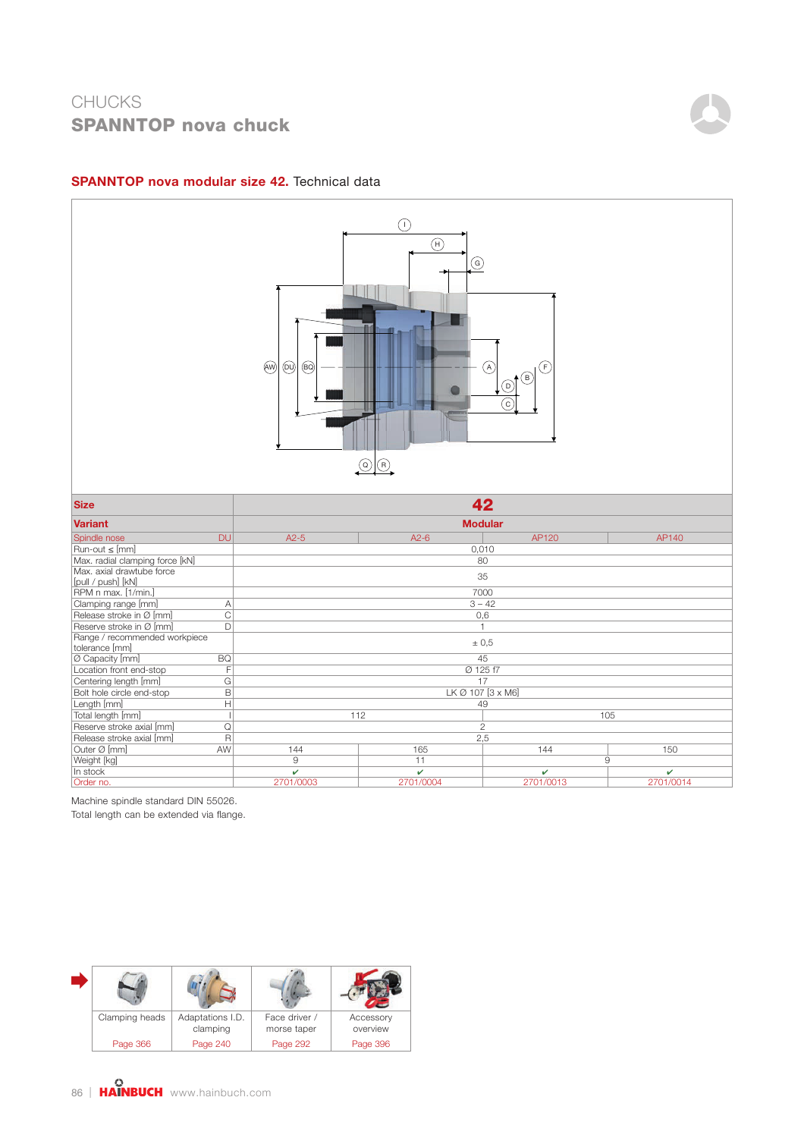# **CHUCKS SPANNTOP nova chuck**



### **SPANNTOP nova modular size 42.** Technical data



Machine spindle standard DIN 55026.

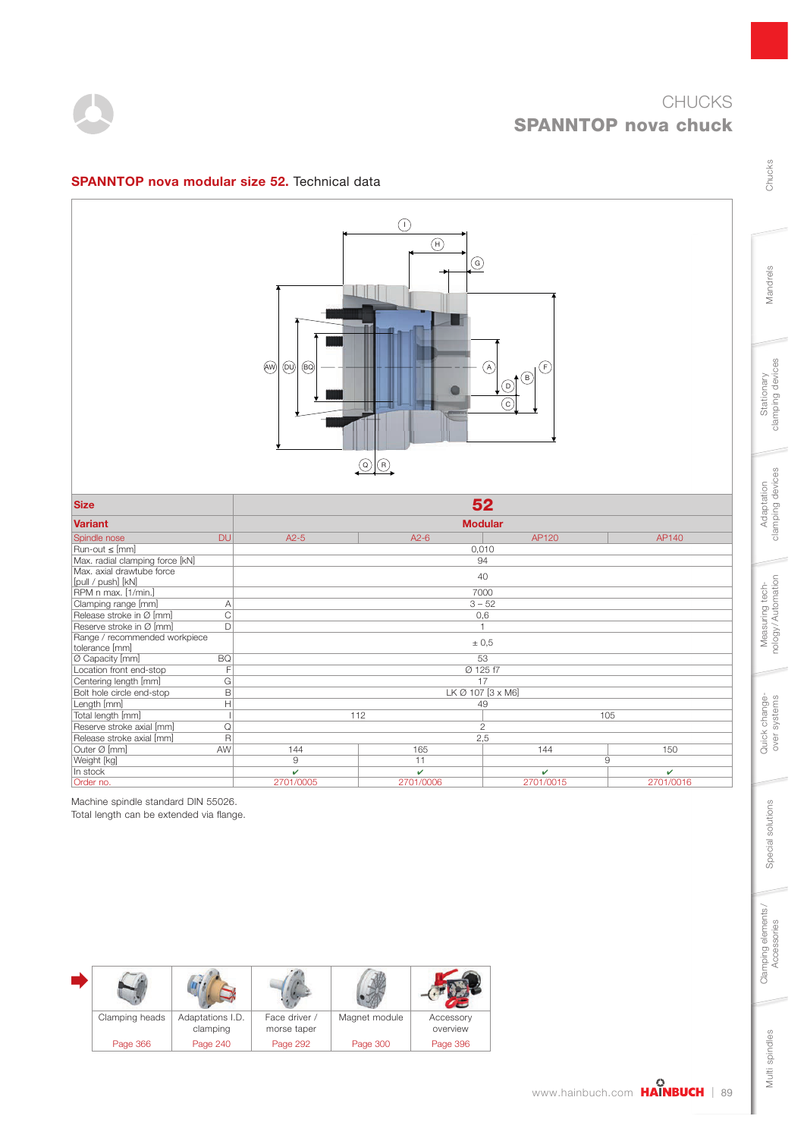



## SPANNTOP nova modular size 52. Technical data



| <b>Size</b>                     | 52             |                                     |          |                         |  |  |
|---------------------------------|----------------|-------------------------------------|----------|-------------------------|--|--|
| <b>Variant</b>                  | <b>Modular</b> |                                     |          |                         |  |  |
| Spindle nose<br><b>DU</b>       | $A2-5$         | AP120<br>AP140<br>$A2-6$            |          |                         |  |  |
| $Run-out \leq [mm]$             |                |                                     | 0,010    |                         |  |  |
| Max. radial clamping force [kN] |                | 94                                  |          |                         |  |  |
| Max. axial drawtube force       |                |                                     | 40       |                         |  |  |
| [pull / push] [kN]              |                |                                     |          |                         |  |  |
| RPM n max. [1/min.]             |                |                                     | 7000     |                         |  |  |
| Clamping range [mm]<br>Α        |                |                                     | $3 - 52$ |                         |  |  |
| C<br>Release stroke in Ø [mm]   |                |                                     | 0,6      |                         |  |  |
| D<br>Reserve stroke in Ø [mm]   |                | $\overline{1}$                      |          |                         |  |  |
| Range / recommended workpiece   |                | ± 0,5                               |          |                         |  |  |
| tolerance [mm]                  |                |                                     |          |                         |  |  |
| <b>BQ</b><br>Ø Capacity [mm]    |                | 53                                  |          |                         |  |  |
| F<br>Location front end-stop    |                | Ø 125 f7                            |          |                         |  |  |
| Centering length [mm]<br>G      |                | 17                                  |          |                         |  |  |
| B<br>Bolt hole circle end-stop  |                | LK Ø 107 [3 x M6]                   |          |                         |  |  |
| H<br>Length [mm]                |                | 49                                  |          |                         |  |  |
| Total length [mm]               |                | 112<br>105                          |          |                         |  |  |
| Reserve stroke axial [mm]<br>Q  | $\overline{2}$ |                                     |          |                         |  |  |
| R<br>Release stroke axial [mm]  | 2,5            |                                     |          |                         |  |  |
| Outer Ø [mm]<br>AW              | 144            | 165                                 | 144      | 150                     |  |  |
| Weight [kg]                     | 9              | 11<br>9                             |          |                         |  |  |
| In stock                        | Ú              | v                                   | v        | $\overline{\mathbf{v}}$ |  |  |
| Order no.                       | 2701/0005      | 2701/0016<br>2701/0006<br>2701/0015 |          |                         |  |  |

Machine spindle standard DIN 55026.

Total length can be extended via flange.

| Clamping heads | Adaptations I.D.<br>clamping | Face driver /<br>morse taper | Magnet module | Accessory<br>overview |
|----------------|------------------------------|------------------------------|---------------|-----------------------|
| Page 366       | Page 240                     | Page 292                     | Page 300      | Page 396              |

Mandrels

Chucks

Stationary<br>clamping devices

Multi spindles

Multi spindles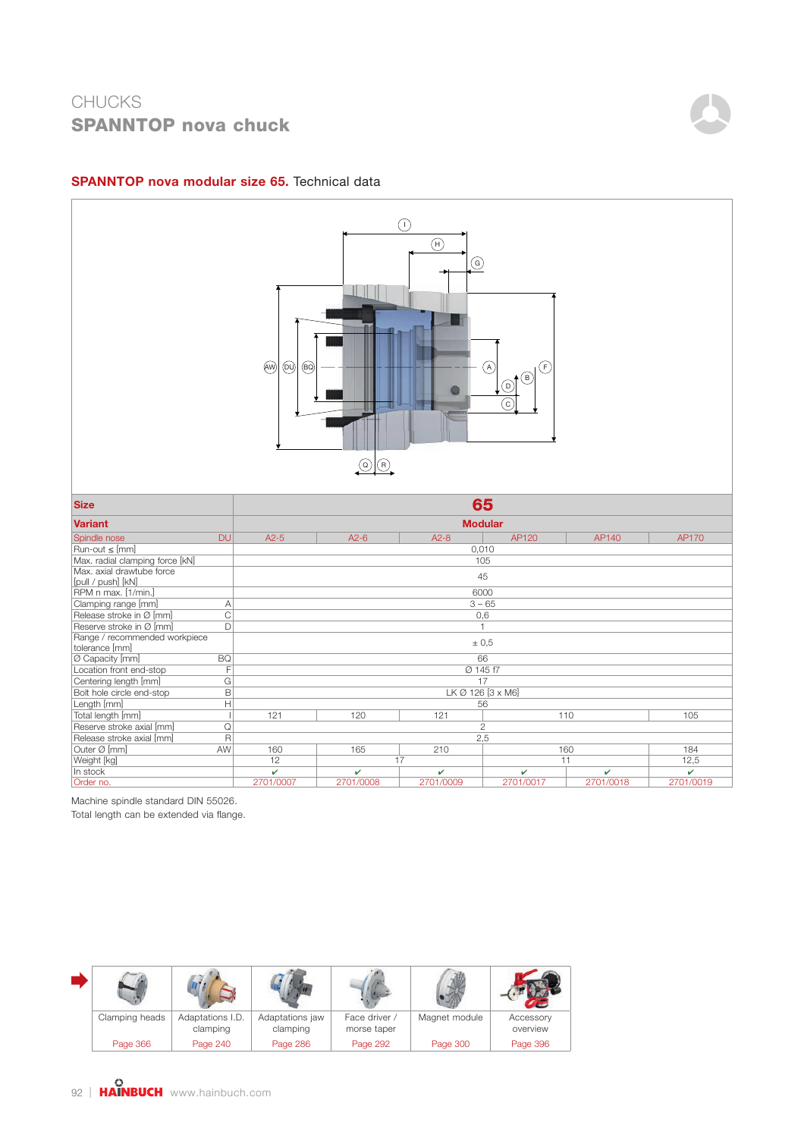# **CHUCKS SPANNTOP nova chuck**



### **SPANNTOP nova modular size 65.** Technical data



Machine spindle standard DIN 55026.

| Clamping heads | Adaptations I.D.<br>clamping | Adaptations jaw<br>clamping | Face driver /<br>morse taper | Magnet module | Accessory<br>overview |
|----------------|------------------------------|-----------------------------|------------------------------|---------------|-----------------------|
| Page 366       | Page 240                     | Page 286                    | Page 292                     | Page 300      | Page 396              |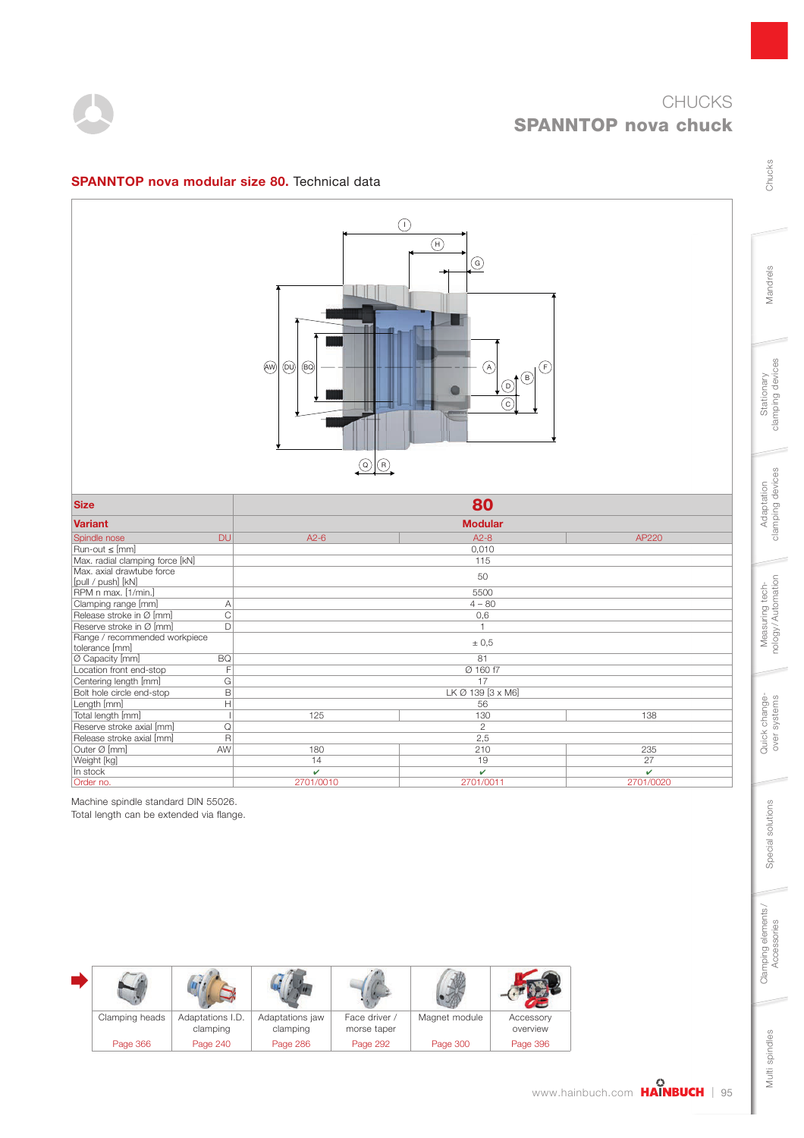

Chucks

Mandrels

Stationary<br>clamping devices

Adaptation<br>clamping devices

Measuring tech-<br>nology/Automation

Quick change-<br>over systems

Special solutions

Special solutions

Clamping elements/<br>Accessories

Multi spindles

Multi spindles



## SPANNTOP nova modular size 80. Technical data



| <b>Size</b>                                     | 80                                  |          |       |  |  |  |
|-------------------------------------------------|-------------------------------------|----------|-------|--|--|--|
| <b>Variant</b>                                  | <b>Modular</b>                      |          |       |  |  |  |
| <b>DU</b><br>Spindle nose                       | $A2-6$                              | $A2-8$   | AP220 |  |  |  |
| $Run-out \leq [mm]$                             |                                     | 0,010    |       |  |  |  |
| Max. radial clamping force [kN]                 |                                     | 115      |       |  |  |  |
| Max. axial drawtube force<br>[pull / push] [kN] |                                     | 50       |       |  |  |  |
| RPM n max. [1/min.]                             |                                     | 5500     |       |  |  |  |
| Clamping range [mm]<br>$\overline{A}$           |                                     | $4 - 80$ |       |  |  |  |
| Release stroke in Ø [mm]<br>C                   |                                     | 0,6      |       |  |  |  |
| Reserve stroke in Ø [mm]<br>D                   |                                     |          |       |  |  |  |
| Range / recommended workpiece                   |                                     |          |       |  |  |  |
| tolerance [mm]                                  |                                     | ± 0,5    |       |  |  |  |
| <b>BQ</b><br>0 Capacity [mm]                    | 81                                  |          |       |  |  |  |
| Location front end-stop<br>F                    |                                     | Ø 160 f7 |       |  |  |  |
| Centering length [mm]<br>G                      | 17                                  |          |       |  |  |  |
| Bolt hole circle end-stop<br>B                  | LK Ø 139 [3 x M6]                   |          |       |  |  |  |
| Н<br>Length [mm]                                | 56                                  |          |       |  |  |  |
| Total length [mm]                               | 125                                 | 130      |       |  |  |  |
| Reserve stroke axial [mm]<br>Q                  | $\mathbf{2}$                        |          |       |  |  |  |
| R<br>Release stroke axial [mm]                  | 2,5                                 |          |       |  |  |  |
| Outer Ø [mm]<br>AW                              | 180                                 | 210      | 235   |  |  |  |
| Weight [kg]                                     | 14                                  | 19       | 27    |  |  |  |
| In stock                                        | $\overline{\mathbf{v}}$             | v        | v     |  |  |  |
| Order no.                                       | 2701/0010<br>2701/0011<br>2701/0020 |          |       |  |  |  |

Machine spindle standard DIN 55026.

| Clamping heads | Adaptations I.D.<br>clamping | Adaptations jaw<br>clamping | Face driver /<br>morse taper | Magnet module | Accessory<br>overview |
|----------------|------------------------------|-----------------------------|------------------------------|---------------|-----------------------|
| Page 366       | Page 240                     | Page 286                    | Page 292                     | Page 300      | Page 396              |

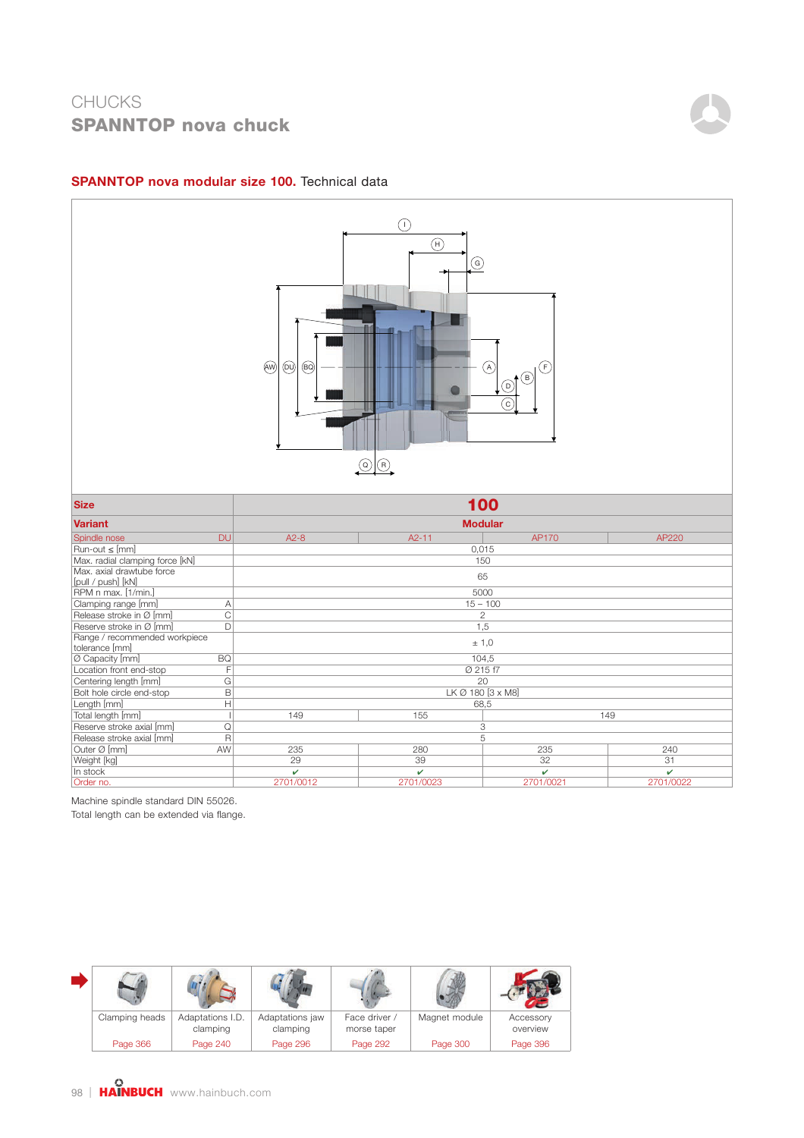# **CHUCKS SPANNTOP nova chuck**



### **SPANNTOP nova modular size 100.** Technical data



Machine spindle standard DIN 55026.